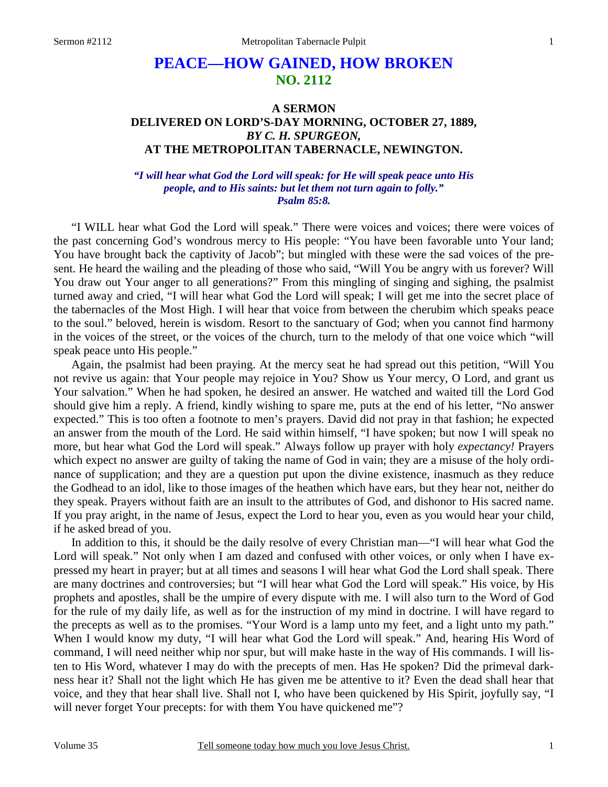# **PEACE—HOW GAINED, HOW BROKEN NO. 2112**

## **A SERMON DELIVERED ON LORD'S-DAY MORNING, OCTOBER 27, 1889,**  *BY C. H. SPURGEON,*  **AT THE METROPOLITAN TABERNACLE, NEWINGTON.**

#### *"I will hear what God the Lord will speak: for He will speak peace unto His people, and to His saints: but let them not turn again to folly." Psalm 85:8.*

"I WILL hear what God the Lord will speak." There were voices and voices; there were voices of the past concerning God's wondrous mercy to His people: "You have been favorable unto Your land; You have brought back the captivity of Jacob"; but mingled with these were the sad voices of the present. He heard the wailing and the pleading of those who said, "Will You be angry with us forever? Will You draw out Your anger to all generations?" From this mingling of singing and sighing, the psalmist turned away and cried, "I will hear what God the Lord will speak; I will get me into the secret place of the tabernacles of the Most High. I will hear that voice from between the cherubim which speaks peace to the soul." beloved, herein is wisdom. Resort to the sanctuary of God; when you cannot find harmony in the voices of the street, or the voices of the church, turn to the melody of that one voice which "will speak peace unto His people."

Again, the psalmist had been praying. At the mercy seat he had spread out this petition, "Will You not revive us again: that Your people may rejoice in You? Show us Your mercy, O Lord, and grant us Your salvation." When he had spoken, he desired an answer. He watched and waited till the Lord God should give him a reply. A friend, kindly wishing to spare me, puts at the end of his letter, "No answer expected." This is too often a footnote to men's prayers. David did not pray in that fashion; he expected an answer from the mouth of the Lord. He said within himself, "I have spoken; but now I will speak no more, but hear what God the Lord will speak." Always follow up prayer with holy *expectancy!* Prayers which expect no answer are guilty of taking the name of God in vain; they are a misuse of the holy ordinance of supplication; and they are a question put upon the divine existence, inasmuch as they reduce the Godhead to an idol, like to those images of the heathen which have ears, but they hear not, neither do they speak. Prayers without faith are an insult to the attributes of God, and dishonor to His sacred name. If you pray aright, in the name of Jesus, expect the Lord to hear you, even as you would hear your child, if he asked bread of you.

In addition to this, it should be the daily resolve of every Christian man—"I will hear what God the Lord will speak." Not only when I am dazed and confused with other voices, or only when I have expressed my heart in prayer; but at all times and seasons I will hear what God the Lord shall speak. There are many doctrines and controversies; but "I will hear what God the Lord will speak." His voice, by His prophets and apostles, shall be the umpire of every dispute with me. I will also turn to the Word of God for the rule of my daily life, as well as for the instruction of my mind in doctrine. I will have regard to the precepts as well as to the promises. "Your Word is a lamp unto my feet, and a light unto my path." When I would know my duty, "I will hear what God the Lord will speak." And, hearing His Word of command, I will need neither whip nor spur, but will make haste in the way of His commands. I will listen to His Word, whatever I may do with the precepts of men. Has He spoken? Did the primeval darkness hear it? Shall not the light which He has given me be attentive to it? Even the dead shall hear that voice, and they that hear shall live. Shall not I, who have been quickened by His Spirit, joyfully say, "I will never forget Your precepts: for with them You have quickened me"?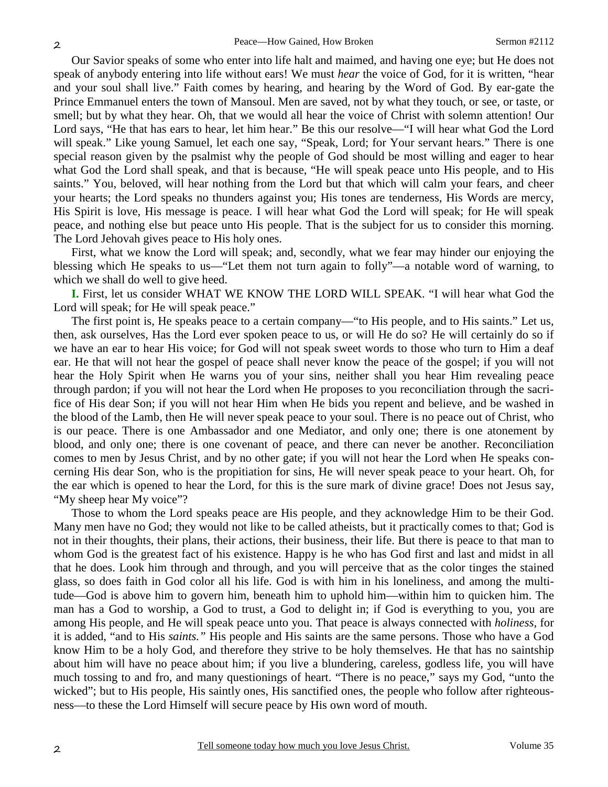Our Savior speaks of some who enter into life halt and maimed, and having one eye; but He does not speak of anybody entering into life without ears! We must *hear* the voice of God, for it is written, "hear and your soul shall live." Faith comes by hearing, and hearing by the Word of God. By ear-gate the Prince Emmanuel enters the town of Mansoul. Men are saved, not by what they touch, or see, or taste, or smell; but by what they hear. Oh, that we would all hear the voice of Christ with solemn attention! Our Lord says, "He that has ears to hear, let him hear." Be this our resolve—"I will hear what God the Lord will speak." Like young Samuel, let each one say, "Speak, Lord; for Your servant hears." There is one special reason given by the psalmist why the people of God should be most willing and eager to hear what God the Lord shall speak, and that is because, "He will speak peace unto His people, and to His saints." You, beloved, will hear nothing from the Lord but that which will calm your fears, and cheer your hearts; the Lord speaks no thunders against you; His tones are tenderness, His Words are mercy, His Spirit is love, His message is peace. I will hear what God the Lord will speak; for He will speak peace, and nothing else but peace unto His people. That is the subject for us to consider this morning. The Lord Jehovah gives peace to His holy ones.

First, what we know the Lord will speak; and, secondly, what we fear may hinder our enjoying the blessing which He speaks to us—"Let them not turn again to folly"—a notable word of warning, to which we shall do well to give heed.

**I.** First, let us consider WHAT WE KNOW THE LORD WILL SPEAK. "I will hear what God the Lord will speak; for He will speak peace."

The first point is, He speaks peace to a certain company—"to His people, and to His saints." Let us, then, ask ourselves, Has the Lord ever spoken peace to us, or will He do so? He will certainly do so if we have an ear to hear His voice; for God will not speak sweet words to those who turn to Him a deaf ear. He that will not hear the gospel of peace shall never know the peace of the gospel; if you will not hear the Holy Spirit when He warns you of your sins, neither shall you hear Him revealing peace through pardon; if you will not hear the Lord when He proposes to you reconciliation through the sacrifice of His dear Son; if you will not hear Him when He bids you repent and believe, and be washed in the blood of the Lamb, then He will never speak peace to your soul. There is no peace out of Christ, who is our peace. There is one Ambassador and one Mediator, and only one; there is one atonement by blood, and only one; there is one covenant of peace, and there can never be another. Reconciliation comes to men by Jesus Christ, and by no other gate; if you will not hear the Lord when He speaks concerning His dear Son, who is the propitiation for sins, He will never speak peace to your heart. Oh, for the ear which is opened to hear the Lord, for this is the sure mark of divine grace! Does not Jesus say, "My sheep hear My voice"?

Those to whom the Lord speaks peace are His people, and they acknowledge Him to be their God. Many men have no God; they would not like to be called atheists, but it practically comes to that; God is not in their thoughts, their plans, their actions, their business, their life. But there is peace to that man to whom God is the greatest fact of his existence. Happy is he who has God first and last and midst in all that he does. Look him through and through, and you will perceive that as the color tinges the stained glass, so does faith in God color all his life. God is with him in his loneliness, and among the multitude—God is above him to govern him, beneath him to uphold him—within him to quicken him. The man has a God to worship, a God to trust, a God to delight in; if God is everything to you, you are among His people, and He will speak peace unto you. That peace is always connected with *holiness,* for it is added, "and to His *saints."* His people and His saints are the same persons. Those who have a God know Him to be a holy God, and therefore they strive to be holy themselves. He that has no saintship about him will have no peace about him; if you live a blundering, careless, godless life, you will have much tossing to and fro, and many questionings of heart. "There is no peace," says my God, "unto the wicked"; but to His people, His saintly ones, His sanctified ones, the people who follow after righteousness—to these the Lord Himself will secure peace by His own word of mouth.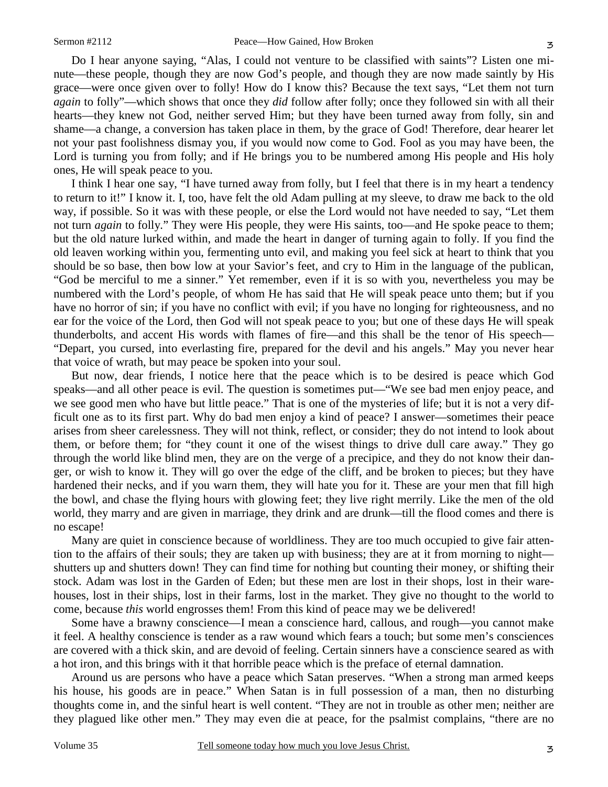Do I hear anyone saying, "Alas, I could not venture to be classified with saints"? Listen one minute—these people, though they are now God's people, and though they are now made saintly by His grace—were once given over to folly! How do I know this? Because the text says, "Let them not turn *again* to folly"—which shows that once they *did* follow after folly; once they followed sin with all their hearts—they knew not God, neither served Him; but they have been turned away from folly, sin and shame—a change, a conversion has taken place in them, by the grace of God! Therefore, dear hearer let not your past foolishness dismay you, if you would now come to God. Fool as you may have been, the Lord is turning you from folly; and if He brings you to be numbered among His people and His holy ones, He will speak peace to you.

I think I hear one say, "I have turned away from folly, but I feel that there is in my heart a tendency to return to it!" I know it. I, too, have felt the old Adam pulling at my sleeve, to draw me back to the old way, if possible. So it was with these people, or else the Lord would not have needed to say, "Let them not turn *again* to folly." They were His people, they were His saints, too—and He spoke peace to them; but the old nature lurked within, and made the heart in danger of turning again to folly. If you find the old leaven working within you, fermenting unto evil, and making you feel sick at heart to think that you should be so base, then bow low at your Savior's feet, and cry to Him in the language of the publican, "God be merciful to me a sinner." Yet remember, even if it is so with you, nevertheless you may be numbered with the Lord's people, of whom He has said that He will speak peace unto them; but if you have no horror of sin; if you have no conflict with evil; if you have no longing for righteousness, and no ear for the voice of the Lord, then God will not speak peace to you; but one of these days He will speak thunderbolts, and accent His words with flames of fire—and this shall be the tenor of His speech— "Depart, you cursed, into everlasting fire, prepared for the devil and his angels." May you never hear that voice of wrath, but may peace be spoken into your soul.

But now, dear friends, I notice here that the peace which is to be desired is peace which God speaks—and all other peace is evil. The question is sometimes put—"We see bad men enjoy peace, and we see good men who have but little peace." That is one of the mysteries of life; but it is not a very difficult one as to its first part. Why do bad men enjoy a kind of peace? I answer—sometimes their peace arises from sheer carelessness. They will not think, reflect, or consider; they do not intend to look about them, or before them; for "they count it one of the wisest things to drive dull care away." They go through the world like blind men, they are on the verge of a precipice, and they do not know their danger, or wish to know it. They will go over the edge of the cliff, and be broken to pieces; but they have hardened their necks, and if you warn them, they will hate you for it. These are your men that fill high the bowl, and chase the flying hours with glowing feet; they live right merrily. Like the men of the old world, they marry and are given in marriage, they drink and are drunk—till the flood comes and there is no escape!

Many are quiet in conscience because of worldliness. They are too much occupied to give fair attention to the affairs of their souls; they are taken up with business; they are at it from morning to night shutters up and shutters down! They can find time for nothing but counting their money, or shifting their stock. Adam was lost in the Garden of Eden; but these men are lost in their shops, lost in their warehouses, lost in their ships, lost in their farms, lost in the market. They give no thought to the world to come, because *this* world engrosses them! From this kind of peace may we be delivered!

Some have a brawny conscience—I mean a conscience hard, callous, and rough—you cannot make it feel. A healthy conscience is tender as a raw wound which fears a touch; but some men's consciences are covered with a thick skin, and are devoid of feeling. Certain sinners have a conscience seared as with a hot iron, and this brings with it that horrible peace which is the preface of eternal damnation.

Around us are persons who have a peace which Satan preserves. "When a strong man armed keeps his house, his goods are in peace." When Satan is in full possession of a man, then no disturbing thoughts come in, and the sinful heart is well content. "They are not in trouble as other men; neither are they plagued like other men." They may even die at peace, for the psalmist complains, "there are no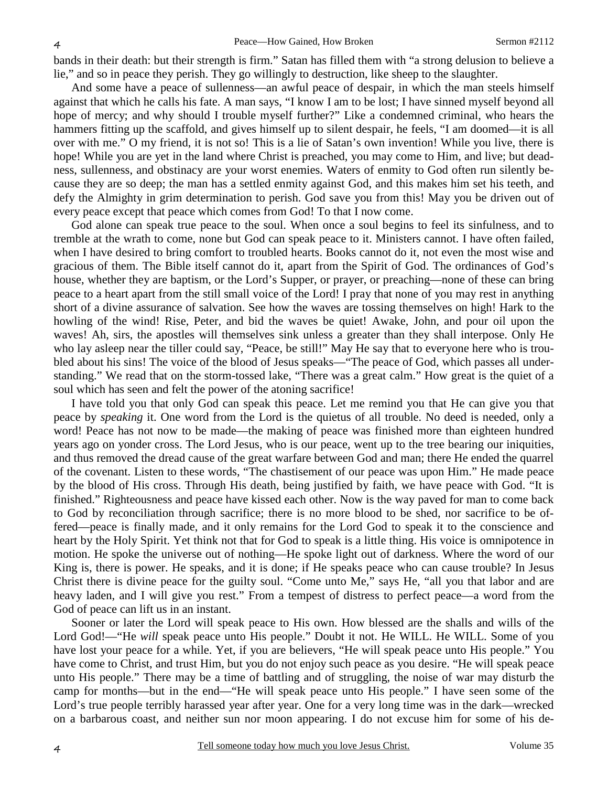bands in their death: but their strength is firm." Satan has filled them with "a strong delusion to believe a lie," and so in peace they perish. They go willingly to destruction, like sheep to the slaughter.

And some have a peace of sullenness—an awful peace of despair, in which the man steels himself against that which he calls his fate. A man says, "I know I am to be lost; I have sinned myself beyond all hope of mercy; and why should I trouble myself further?" Like a condemned criminal, who hears the hammers fitting up the scaffold, and gives himself up to silent despair, he feels, "I am doomed—it is all over with me." O my friend, it is not so! This is a lie of Satan's own invention! While you live, there is hope! While you are yet in the land where Christ is preached, you may come to Him, and live; but deadness, sullenness, and obstinacy are your worst enemies. Waters of enmity to God often run silently because they are so deep; the man has a settled enmity against God, and this makes him set his teeth, and defy the Almighty in grim determination to perish. God save you from this! May you be driven out of every peace except that peace which comes from God! To that I now come.

God alone can speak true peace to the soul. When once a soul begins to feel its sinfulness, and to tremble at the wrath to come, none but God can speak peace to it. Ministers cannot. I have often failed, when I have desired to bring comfort to troubled hearts. Books cannot do it, not even the most wise and gracious of them. The Bible itself cannot do it, apart from the Spirit of God. The ordinances of God's house, whether they are baptism, or the Lord's Supper, or prayer, or preaching—none of these can bring peace to a heart apart from the still small voice of the Lord! I pray that none of you may rest in anything short of a divine assurance of salvation. See how the waves are tossing themselves on high! Hark to the howling of the wind! Rise, Peter, and bid the waves be quiet! Awake, John, and pour oil upon the waves! Ah, sirs, the apostles will themselves sink unless a greater than they shall interpose. Only He who lay asleep near the tiller could say, "Peace, be still!" May He say that to everyone here who is troubled about his sins! The voice of the blood of Jesus speaks—"The peace of God, which passes all understanding." We read that on the storm-tossed lake, "There was a great calm." How great is the quiet of a soul which has seen and felt the power of the atoning sacrifice!

I have told you that only God can speak this peace. Let me remind you that He can give you that peace by *speaking* it. One word from the Lord is the quietus of all trouble. No deed is needed, only a word! Peace has not now to be made—the making of peace was finished more than eighteen hundred years ago on yonder cross. The Lord Jesus, who is our peace, went up to the tree bearing our iniquities, and thus removed the dread cause of the great warfare between God and man; there He ended the quarrel of the covenant. Listen to these words, "The chastisement of our peace was upon Him." He made peace by the blood of His cross. Through His death, being justified by faith, we have peace with God. "It is finished." Righteousness and peace have kissed each other. Now is the way paved for man to come back to God by reconciliation through sacrifice; there is no more blood to be shed, nor sacrifice to be offered—peace is finally made, and it only remains for the Lord God to speak it to the conscience and heart by the Holy Spirit. Yet think not that for God to speak is a little thing. His voice is omnipotence in motion. He spoke the universe out of nothing—He spoke light out of darkness. Where the word of our King is, there is power. He speaks, and it is done; if He speaks peace who can cause trouble? In Jesus Christ there is divine peace for the guilty soul. "Come unto Me," says He, "all you that labor and are heavy laden, and I will give you rest." From a tempest of distress to perfect peace—a word from the God of peace can lift us in an instant.

Sooner or later the Lord will speak peace to His own. How blessed are the shalls and wills of the Lord God!—"He *will* speak peace unto His people." Doubt it not. He WILL. He WILL. Some of you have lost your peace for a while. Yet, if you are believers, "He will speak peace unto His people." You have come to Christ, and trust Him, but you do not enjoy such peace as you desire. "He will speak peace unto His people." There may be a time of battling and of struggling, the noise of war may disturb the camp for months—but in the end—"He will speak peace unto His people." I have seen some of the Lord's true people terribly harassed year after year. One for a very long time was in the dark—wrecked on a barbarous coast, and neither sun nor moon appearing. I do not excuse him for some of his de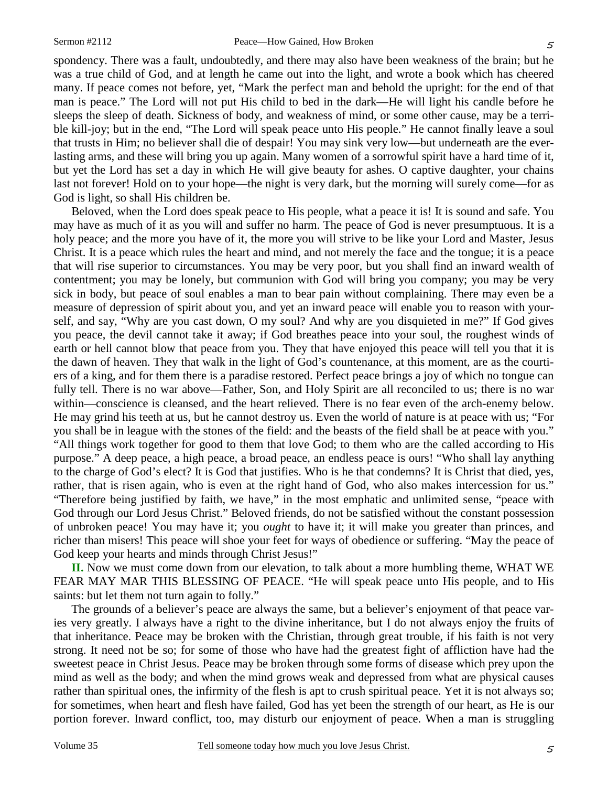spondency. There was a fault, undoubtedly, and there may also have been weakness of the brain; but he was a true child of God, and at length he came out into the light, and wrote a book which has cheered many. If peace comes not before, yet, "Mark the perfect man and behold the upright: for the end of that man is peace." The Lord will not put His child to bed in the dark—He will light his candle before he sleeps the sleep of death. Sickness of body, and weakness of mind, or some other cause, may be a terrible kill-joy; but in the end, "The Lord will speak peace unto His people." He cannot finally leave a soul that trusts in Him; no believer shall die of despair! You may sink very low—but underneath are the everlasting arms, and these will bring you up again. Many women of a sorrowful spirit have a hard time of it, but yet the Lord has set a day in which He will give beauty for ashes. O captive daughter, your chains last not forever! Hold on to your hope—the night is very dark, but the morning will surely come—for as God is light, so shall His children be.

Beloved, when the Lord does speak peace to His people, what a peace it is! It is sound and safe. You may have as much of it as you will and suffer no harm. The peace of God is never presumptuous. It is a holy peace; and the more you have of it, the more you will strive to be like your Lord and Master, Jesus Christ. It is a peace which rules the heart and mind, and not merely the face and the tongue; it is a peace that will rise superior to circumstances. You may be very poor, but you shall find an inward wealth of contentment; you may be lonely, but communion with God will bring you company; you may be very sick in body, but peace of soul enables a man to bear pain without complaining. There may even be a measure of depression of spirit about you, and yet an inward peace will enable you to reason with yourself, and say, "Why are you cast down, O my soul? And why are you disquieted in me?" If God gives you peace, the devil cannot take it away; if God breathes peace into your soul, the roughest winds of earth or hell cannot blow that peace from you. They that have enjoyed this peace will tell you that it is the dawn of heaven. They that walk in the light of God's countenance, at this moment, are as the courtiers of a king, and for them there is a paradise restored. Perfect peace brings a joy of which no tongue can fully tell. There is no war above—Father, Son, and Holy Spirit are all reconciled to us; there is no war within—conscience is cleansed, and the heart relieved. There is no fear even of the arch-enemy below. He may grind his teeth at us, but he cannot destroy us. Even the world of nature is at peace with us; "For you shall be in league with the stones of the field: and the beasts of the field shall be at peace with you." "All things work together for good to them that love God; to them who are the called according to His purpose." A deep peace, a high peace, a broad peace, an endless peace is ours! "Who shall lay anything to the charge of God's elect? It is God that justifies. Who is he that condemns? It is Christ that died, yes, rather, that is risen again, who is even at the right hand of God, who also makes intercession for us." "Therefore being justified by faith, we have," in the most emphatic and unlimited sense, "peace with God through our Lord Jesus Christ." Beloved friends, do not be satisfied without the constant possession of unbroken peace! You may have it; you *ought* to have it; it will make you greater than princes, and richer than misers! This peace will shoe your feet for ways of obedience or suffering. "May the peace of God keep your hearts and minds through Christ Jesus!"

**II.** Now we must come down from our elevation, to talk about a more humbling theme, WHAT WE FEAR MAY MAR THIS BLESSING OF PEACE. "He will speak peace unto His people, and to His saints: but let them not turn again to folly."

The grounds of a believer's peace are always the same, but a believer's enjoyment of that peace varies very greatly. I always have a right to the divine inheritance, but I do not always enjoy the fruits of that inheritance. Peace may be broken with the Christian, through great trouble, if his faith is not very strong. It need not be so; for some of those who have had the greatest fight of affliction have had the sweetest peace in Christ Jesus. Peace may be broken through some forms of disease which prey upon the mind as well as the body; and when the mind grows weak and depressed from what are physical causes rather than spiritual ones, the infirmity of the flesh is apt to crush spiritual peace. Yet it is not always so; for sometimes, when heart and flesh have failed, God has yet been the strength of our heart, as He is our portion forever. Inward conflict, too, may disturb our enjoyment of peace. When a man is struggling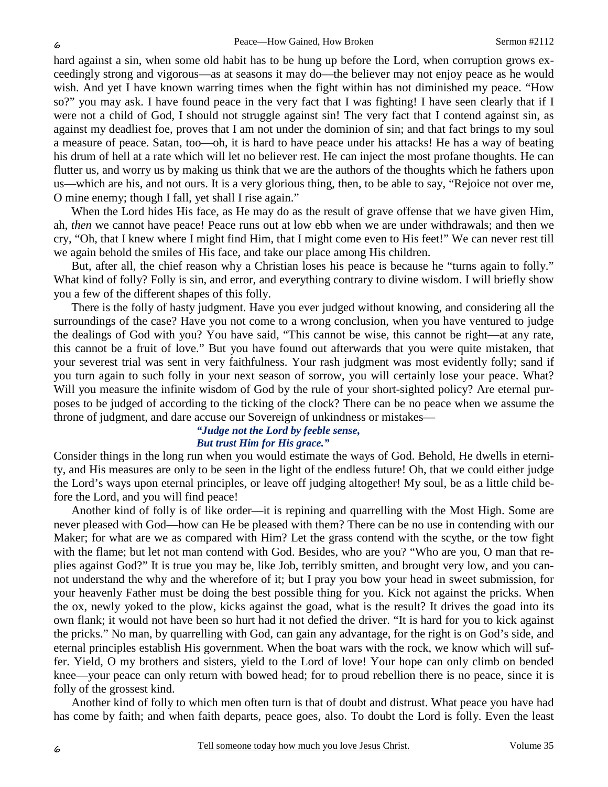hard against a sin, when some old habit has to be hung up before the Lord, when corruption grows exceedingly strong and vigorous—as at seasons it may do—the believer may not enjoy peace as he would wish. And yet I have known warring times when the fight within has not diminished my peace. "How so?" you may ask. I have found peace in the very fact that I was fighting! I have seen clearly that if I were not a child of God, I should not struggle against sin! The very fact that I contend against sin, as against my deadliest foe, proves that I am not under the dominion of sin; and that fact brings to my soul a measure of peace. Satan, too—oh, it is hard to have peace under his attacks! He has a way of beating his drum of hell at a rate which will let no believer rest. He can inject the most profane thoughts. He can flutter us, and worry us by making us think that we are the authors of the thoughts which he fathers upon us—which are his, and not ours. It is a very glorious thing, then, to be able to say, "Rejoice not over me, O mine enemy; though I fall, yet shall I rise again."

When the Lord hides His face, as He may do as the result of grave offense that we have given Him, ah, *then* we cannot have peace! Peace runs out at low ebb when we are under withdrawals; and then we cry, "Oh, that I knew where I might find Him, that I might come even to His feet!" We can never rest till we again behold the smiles of His face, and take our place among His children.

But, after all, the chief reason why a Christian loses his peace is because he "turns again to folly." What kind of folly? Folly is sin, and error, and everything contrary to divine wisdom. I will briefly show you a few of the different shapes of this folly.

There is the folly of hasty judgment. Have you ever judged without knowing, and considering all the surroundings of the case? Have you not come to a wrong conclusion, when you have ventured to judge the dealings of God with you? You have said, "This cannot be wise, this cannot be right—at any rate, this cannot be a fruit of love." But you have found out afterwards that you were quite mistaken, that your severest trial was sent in very faithfulness. Your rash judgment was most evidently folly; sand if you turn again to such folly in your next season of sorrow, you will certainly lose your peace. What? Will you measure the infinite wisdom of God by the rule of your short-sighted policy? Are eternal purposes to be judged of according to the ticking of the clock? There can be no peace when we assume the throne of judgment, and dare accuse our Sovereign of unkindness or mistakes—

#### *"Judge not the Lord by feeble sense, But trust Him for His grace."*

Consider things in the long run when you would estimate the ways of God. Behold, He dwells in eternity, and His measures are only to be seen in the light of the endless future! Oh, that we could either judge the Lord's ways upon eternal principles, or leave off judging altogether! My soul, be as a little child before the Lord, and you will find peace!

Another kind of folly is of like order—it is repining and quarrelling with the Most High. Some are never pleased with God—how can He be pleased with them? There can be no use in contending with our Maker; for what are we as compared with Him? Let the grass contend with the scythe, or the tow fight with the flame; but let not man contend with God. Besides, who are you? "Who are you, O man that replies against God?" It is true you may be, like Job, terribly smitten, and brought very low, and you cannot understand the why and the wherefore of it; but I pray you bow your head in sweet submission, for your heavenly Father must be doing the best possible thing for you. Kick not against the pricks. When the ox, newly yoked to the plow, kicks against the goad, what is the result? It drives the goad into its own flank; it would not have been so hurt had it not defied the driver. "It is hard for you to kick against the pricks." No man, by quarrelling with God, can gain any advantage, for the right is on God's side, and eternal principles establish His government. When the boat wars with the rock, we know which will suffer. Yield, O my brothers and sisters, yield to the Lord of love! Your hope can only climb on bended knee—your peace can only return with bowed head; for to proud rebellion there is no peace, since it is folly of the grossest kind.

Another kind of folly to which men often turn is that of doubt and distrust. What peace you have had has come by faith; and when faith departs, peace goes, also. To doubt the Lord is folly. Even the least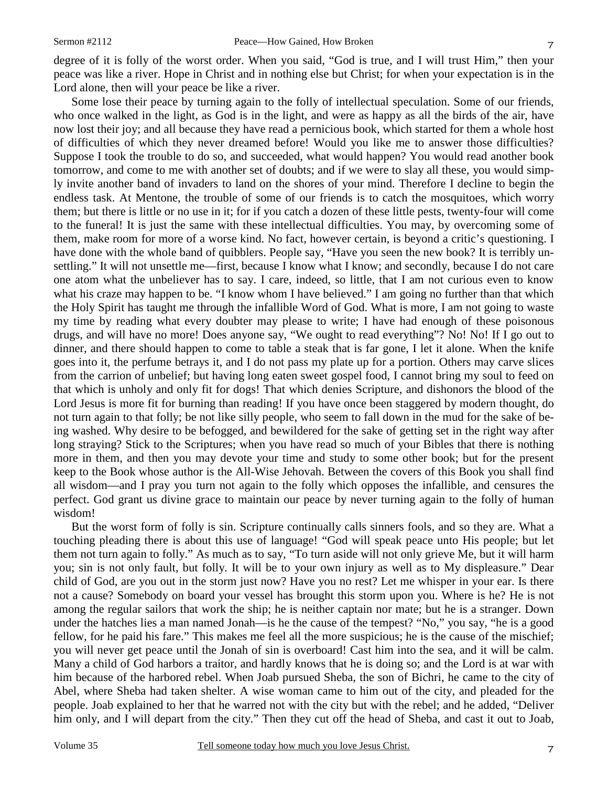degree of it is folly of the worst order. When you said, "God is true, and I will trust Him," then your peace was like a river. Hope in Christ and in nothing else but Christ; for when your expectation is in the Lord alone, then will your peace be like a river.

Some lose their peace by turning again to the folly of intellectual speculation. Some of our friends, who once walked in the light, as God is in the light, and were as happy as all the birds of the air, have now lost their joy; and all because they have read a pernicious book, which started for them a whole host of difficulties of which they never dreamed before! Would you like me to answer those difficulties? Suppose I took the trouble to do so, and succeeded, what would happen? You would read another book tomorrow, and come to me with another set of doubts; and if we were to slay all these, you would simply invite another band of invaders to land on the shores of your mind. Therefore I decline to begin the endless task. At Mentone, the trouble of some of our friends is to catch the mosquitoes, which worry them; but there is little or no use in it; for if you catch a dozen of these little pests, twenty-four will come to the funeral! It is just the same with these intellectual difficulties. You may, by overcoming some of them, make room for more of a worse kind. No fact, however certain, is beyond a critic's questioning. I have done with the whole band of quibblers. People say, "Have you seen the new book? It is terribly unsettling." It will not unsettle me—first, because I know what I know; and secondly, because I do not care one atom what the unbeliever has to say. I care, indeed, so little, that I am not curious even to know what his craze may happen to be. "I know whom I have believed." I am going no further than that which the Holy Spirit has taught me through the infallible Word of God. What is more, I am not going to waste my time by reading what every doubter may please to write; I have had enough of these poisonous drugs, and will have no more! Does anyone say, "We ought to read everything"? No! No! If I go out to dinner, and there should happen to come to table a steak that is far gone, I let it alone. When the knife goes into it, the perfume betrays it, and I do not pass my plate up for a portion. Others may carve slices from the carrion of unbelief; but having long eaten sweet gospel food, I cannot bring my soul to feed on that which is unholy and only fit for dogs! That which denies Scripture, and dishonors the blood of the Lord Jesus is more fit for burning than reading! If you have once been staggered by modern thought, do not turn again to that folly; be not like silly people, who seem to fall down in the mud for the sake of being washed. Why desire to be befogged, and bewildered for the sake of getting set in the right way after long straying? Stick to the Scriptures; when you have read so much of your Bibles that there is nothing more in them, and then you may devote your time and study to some other book; but for the present keep to the Book whose author is the All-Wise Jehovah. Between the covers of this Book you shall find all wisdom—and I pray you turn not again to the folly which opposes the infallible, and censures the perfect. God grant us divine grace to maintain our peace by never turning again to the folly of human wisdom!

But the worst form of folly is sin. Scripture continually calls sinners fools, and so they are. What a touching pleading there is about this use of language! "God will speak peace unto His people; but let them not turn again to folly." As much as to say, "To turn aside will not only grieve Me, but it will harm you; sin is not only fault, but folly. It will be to your own injury as well as to My displeasure." Dear child of God, are you out in the storm just now? Have you no rest? Let me whisper in your ear. Is there not a cause? Somebody on board your vessel has brought this storm upon you. Where is he? He is not among the regular sailors that work the ship; he is neither captain nor mate; but he is a stranger. Down under the hatches lies a man named Jonah—is he the cause of the tempest? "No," you say, "he is a good fellow, for he paid his fare." This makes me feel all the more suspicious; he is the cause of the mischief; you will never get peace until the Jonah of sin is overboard! Cast him into the sea, and it will be calm. Many a child of God harbors a traitor, and hardly knows that he is doing so; and the Lord is at war with him because of the harbored rebel. When Joab pursued Sheba, the son of Bichri, he came to the city of Abel, where Sheba had taken shelter. A wise woman came to him out of the city, and pleaded for the people. Joab explained to her that he warred not with the city but with the rebel; and he added, "Deliver him only, and I will depart from the city." Then they cut off the head of Sheba, and cast it out to Joab,